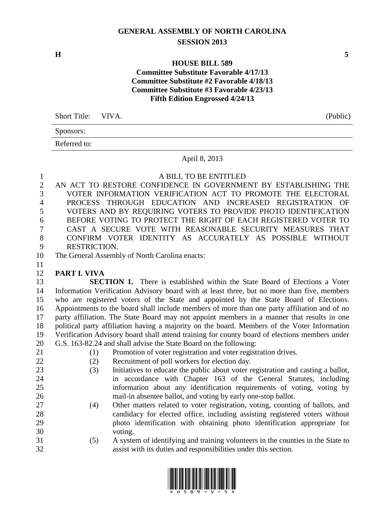# **GENERAL ASSEMBLY OF NORTH CAROLINA SESSION 2013**

**H 5**

### **HOUSE BILL 589 Committee Substitute Favorable 4/17/13 Committee Substitute #2 Favorable 4/18/13 Committee Substitute #3 Favorable 4/23/13 Fifth Edition Engrossed 4/24/13**

| Short Title: VIVA. | (Public) |
|--------------------|----------|
| Sponsors:          |          |

Referred to:

#### April 8, 2013

### A BILL TO BE ENTITLED

 AN ACT TO RESTORE CONFIDENCE IN GOVERNMENT BY ESTABLISHING THE VOTER INFORMATION VERIFICATION ACT TO PROMOTE THE ELECTORAL PROCESS THROUGH EDUCATION AND INCREASED REGISTRATION OF VOTERS AND BY REQUIRING VOTERS TO PROVIDE PHOTO IDENTIFICATION 6 BEFORE VOTING TO PROTECT THE RIGHT OF EACH REGISTERED VOTER TO <br>CAST A SECURE VOTE WITH REASONABLE SECURITY MEASURES THAT CAST A SECURE VOTE WITH REASONABLE SECURITY MEASURES THAT CONFIRM VOTER IDENTITY AS ACCURATELY AS POSSIBLE WITHOUT RESTRICTION.

The General Assembly of North Carolina enacts:

**PART I. VIVA**

 **SECTION 1.** There is established within the State Board of Elections a Voter Information Verification Advisory board with at least three, but no more than five, members who are registered voters of the State and appointed by the State Board of Elections. Appointments to the board shall include members of more than one party affiliation and of no party affiliation. The State Board may not appoint members in a manner that results in one political party affiliation having a majority on the board. Members of the Voter Information Verification Advisory board shall attend training for county board of elections members under G.S. 163-82.24 and shall advise the State Board on the following:

- 
- (1) Promotion of voter registration and voter registration drives.
- (2) Recruitment of poll workers for election day.
- (3) Initiatives to educate the public about voter registration and casting a ballot, in accordance with Chapter 163 of the General Statutes, including information about any identification requirements of voting, voting by mail-in absentee ballot, and voting by early one-stop ballot.
- (4) Other matters related to voter registration, voting, counting of ballots, and candidacy for elected office, including assisting registered voters without photo identification with obtaining photo identification appropriate for voting.
- (5) A system of identifying and training volunteers in the counties in the State to assist with its duties and responsibilities under this section.

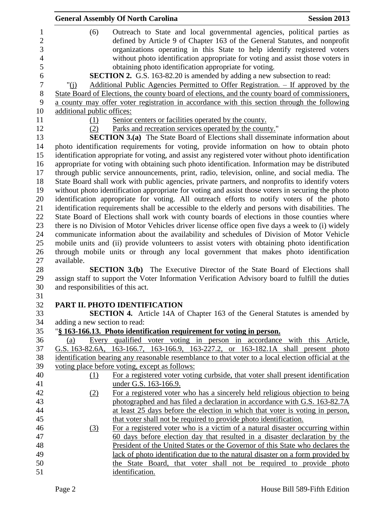|                                                            | <b>General Assembly Of North Carolina</b>                                                                                                                                                                                                                                                                                                                                                                                                                                                                                                                                                                                                                                                                                                                                                                                                                                                                                                                                                                                                                                                                                                                                                                                                                                                                                                                                                                                                                                                                                                                                                                                                                                                                                                                                                                                                                                                                                                                                                                                                                                                  | <b>Session 2013</b> |
|------------------------------------------------------------|--------------------------------------------------------------------------------------------------------------------------------------------------------------------------------------------------------------------------------------------------------------------------------------------------------------------------------------------------------------------------------------------------------------------------------------------------------------------------------------------------------------------------------------------------------------------------------------------------------------------------------------------------------------------------------------------------------------------------------------------------------------------------------------------------------------------------------------------------------------------------------------------------------------------------------------------------------------------------------------------------------------------------------------------------------------------------------------------------------------------------------------------------------------------------------------------------------------------------------------------------------------------------------------------------------------------------------------------------------------------------------------------------------------------------------------------------------------------------------------------------------------------------------------------------------------------------------------------------------------------------------------------------------------------------------------------------------------------------------------------------------------------------------------------------------------------------------------------------------------------------------------------------------------------------------------------------------------------------------------------------------------------------------------------------------------------------------------------|---------------------|
| (6)<br>" $(i)$<br>additional public offices:<br>(1)<br>(2) | Outreach to State and local governmental agencies, political parties as<br>defined by Article 9 of Chapter 163 of the General Statutes, and nonprofit<br>organizations operating in this State to help identify registered voters<br>without photo identification appropriate for voting and assist those voters in<br>obtaining photo identification appropriate for voting.<br><b>SECTION 2.</b> G.S. 163-82.20 is amended by adding a new subsection to read:<br><u>Additional Public Agencies Permitted to Offer Registration. – If approved by the</u><br>State Board of Elections, the county board of elections, and the county board of commissioners,<br>a county may offer voter registration in accordance with this section through the following<br>Senior centers or facilities operated by the county.<br>Parks and recreation services operated by the county."<br><b>SECTION 3.(a)</b> The State Board of Elections shall disseminate information about<br>photo identification requirements for voting, provide information on how to obtain photo<br>identification appropriate for voting, and assist any registered voter without photo identification<br>appropriate for voting with obtaining such photo identification. Information may be distributed<br>through public service announcements, print, radio, television, online, and social media. The<br>State Board shall work with public agencies, private partners, and nonprofits to identify voters<br>without photo identification appropriate for voting and assist those voters in securing the photo<br>identification appropriate for voting. All outreach efforts to notify voters of the photo<br>identification requirements shall be accessible to the elderly and persons with disabilities. The<br>State Board of Elections shall work with county boards of elections in those counties where<br>there is no Division of Motor Vehicles driver license office open five days a week to (i) widely<br>communicate information about the availability and schedules of Division of Motor Vehicle |                     |
|                                                            |                                                                                                                                                                                                                                                                                                                                                                                                                                                                                                                                                                                                                                                                                                                                                                                                                                                                                                                                                                                                                                                                                                                                                                                                                                                                                                                                                                                                                                                                                                                                                                                                                                                                                                                                                                                                                                                                                                                                                                                                                                                                                            |                     |
|                                                            | mobile units and (ii) provide volunteers to assist voters with obtaining photo identification                                                                                                                                                                                                                                                                                                                                                                                                                                                                                                                                                                                                                                                                                                                                                                                                                                                                                                                                                                                                                                                                                                                                                                                                                                                                                                                                                                                                                                                                                                                                                                                                                                                                                                                                                                                                                                                                                                                                                                                              |                     |
|                                                            | through mobile units or through any local government that makes photo identification                                                                                                                                                                                                                                                                                                                                                                                                                                                                                                                                                                                                                                                                                                                                                                                                                                                                                                                                                                                                                                                                                                                                                                                                                                                                                                                                                                                                                                                                                                                                                                                                                                                                                                                                                                                                                                                                                                                                                                                                       |                     |
| available.                                                 | <b>SECTION 3.(b)</b> The Executive Director of the State Board of Elections shall                                                                                                                                                                                                                                                                                                                                                                                                                                                                                                                                                                                                                                                                                                                                                                                                                                                                                                                                                                                                                                                                                                                                                                                                                                                                                                                                                                                                                                                                                                                                                                                                                                                                                                                                                                                                                                                                                                                                                                                                          |                     |
| and responsibilities of this act.                          | assign staff to support the Voter Information Verification Advisory board to fulfill the duties                                                                                                                                                                                                                                                                                                                                                                                                                                                                                                                                                                                                                                                                                                                                                                                                                                                                                                                                                                                                                                                                                                                                                                                                                                                                                                                                                                                                                                                                                                                                                                                                                                                                                                                                                                                                                                                                                                                                                                                            |                     |
|                                                            |                                                                                                                                                                                                                                                                                                                                                                                                                                                                                                                                                                                                                                                                                                                                                                                                                                                                                                                                                                                                                                                                                                                                                                                                                                                                                                                                                                                                                                                                                                                                                                                                                                                                                                                                                                                                                                                                                                                                                                                                                                                                                            |                     |
|                                                            | PART II. PHOTO IDENTIFICATION                                                                                                                                                                                                                                                                                                                                                                                                                                                                                                                                                                                                                                                                                                                                                                                                                                                                                                                                                                                                                                                                                                                                                                                                                                                                                                                                                                                                                                                                                                                                                                                                                                                                                                                                                                                                                                                                                                                                                                                                                                                              |                     |
|                                                            | <b>SECTION 4.</b> Article 14A of Chapter 163 of the General Statutes is amended by                                                                                                                                                                                                                                                                                                                                                                                                                                                                                                                                                                                                                                                                                                                                                                                                                                                                                                                                                                                                                                                                                                                                                                                                                                                                                                                                                                                                                                                                                                                                                                                                                                                                                                                                                                                                                                                                                                                                                                                                         |                     |
| adding a new section to read:                              |                                                                                                                                                                                                                                                                                                                                                                                                                                                                                                                                                                                                                                                                                                                                                                                                                                                                                                                                                                                                                                                                                                                                                                                                                                                                                                                                                                                                                                                                                                                                                                                                                                                                                                                                                                                                                                                                                                                                                                                                                                                                                            |                     |
|                                                            | "§ 163-166.13. Photo identification requirement for voting in person.                                                                                                                                                                                                                                                                                                                                                                                                                                                                                                                                                                                                                                                                                                                                                                                                                                                                                                                                                                                                                                                                                                                                                                                                                                                                                                                                                                                                                                                                                                                                                                                                                                                                                                                                                                                                                                                                                                                                                                                                                      |                     |
| (a)                                                        | Every qualified voter voting in person in accordance with this Article,                                                                                                                                                                                                                                                                                                                                                                                                                                                                                                                                                                                                                                                                                                                                                                                                                                                                                                                                                                                                                                                                                                                                                                                                                                                                                                                                                                                                                                                                                                                                                                                                                                                                                                                                                                                                                                                                                                                                                                                                                    |                     |
|                                                            | G.S. 163-82.6A, 163-166.7, 163-166.9, 163-227.2, or 163-182.1A shall present photo                                                                                                                                                                                                                                                                                                                                                                                                                                                                                                                                                                                                                                                                                                                                                                                                                                                                                                                                                                                                                                                                                                                                                                                                                                                                                                                                                                                                                                                                                                                                                                                                                                                                                                                                                                                                                                                                                                                                                                                                         |                     |
|                                                            | identification bearing any reasonable resemblance to that voter to a local election official at the                                                                                                                                                                                                                                                                                                                                                                                                                                                                                                                                                                                                                                                                                                                                                                                                                                                                                                                                                                                                                                                                                                                                                                                                                                                                                                                                                                                                                                                                                                                                                                                                                                                                                                                                                                                                                                                                                                                                                                                        |                     |
|                                                            | voting place before voting, except as follows:                                                                                                                                                                                                                                                                                                                                                                                                                                                                                                                                                                                                                                                                                                                                                                                                                                                                                                                                                                                                                                                                                                                                                                                                                                                                                                                                                                                                                                                                                                                                                                                                                                                                                                                                                                                                                                                                                                                                                                                                                                             |                     |
| (1)                                                        | For a registered voter voting curbside, that voter shall present identification                                                                                                                                                                                                                                                                                                                                                                                                                                                                                                                                                                                                                                                                                                                                                                                                                                                                                                                                                                                                                                                                                                                                                                                                                                                                                                                                                                                                                                                                                                                                                                                                                                                                                                                                                                                                                                                                                                                                                                                                            |                     |
|                                                            | under G.S. 163-166.9.                                                                                                                                                                                                                                                                                                                                                                                                                                                                                                                                                                                                                                                                                                                                                                                                                                                                                                                                                                                                                                                                                                                                                                                                                                                                                                                                                                                                                                                                                                                                                                                                                                                                                                                                                                                                                                                                                                                                                                                                                                                                      |                     |
| (2)                                                        | For a registered voter who has a sincerely held religious objection to being                                                                                                                                                                                                                                                                                                                                                                                                                                                                                                                                                                                                                                                                                                                                                                                                                                                                                                                                                                                                                                                                                                                                                                                                                                                                                                                                                                                                                                                                                                                                                                                                                                                                                                                                                                                                                                                                                                                                                                                                               |                     |
|                                                            | photographed and has filed a declaration in accordance with G.S. 163-82.7A                                                                                                                                                                                                                                                                                                                                                                                                                                                                                                                                                                                                                                                                                                                                                                                                                                                                                                                                                                                                                                                                                                                                                                                                                                                                                                                                                                                                                                                                                                                                                                                                                                                                                                                                                                                                                                                                                                                                                                                                                 |                     |
|                                                            | at least 25 days before the election in which that voter is voting in person,                                                                                                                                                                                                                                                                                                                                                                                                                                                                                                                                                                                                                                                                                                                                                                                                                                                                                                                                                                                                                                                                                                                                                                                                                                                                                                                                                                                                                                                                                                                                                                                                                                                                                                                                                                                                                                                                                                                                                                                                              |                     |
|                                                            | that voter shall not be required to provide photo identification.                                                                                                                                                                                                                                                                                                                                                                                                                                                                                                                                                                                                                                                                                                                                                                                                                                                                                                                                                                                                                                                                                                                                                                                                                                                                                                                                                                                                                                                                                                                                                                                                                                                                                                                                                                                                                                                                                                                                                                                                                          |                     |
| (3)                                                        | For a registered voter who is a victim of a natural disaster occurring within                                                                                                                                                                                                                                                                                                                                                                                                                                                                                                                                                                                                                                                                                                                                                                                                                                                                                                                                                                                                                                                                                                                                                                                                                                                                                                                                                                                                                                                                                                                                                                                                                                                                                                                                                                                                                                                                                                                                                                                                              |                     |
|                                                            | 60 days before election day that resulted in a disaster declaration by the                                                                                                                                                                                                                                                                                                                                                                                                                                                                                                                                                                                                                                                                                                                                                                                                                                                                                                                                                                                                                                                                                                                                                                                                                                                                                                                                                                                                                                                                                                                                                                                                                                                                                                                                                                                                                                                                                                                                                                                                                 |                     |
|                                                            | President of the United States or the Governor of this State who declares the                                                                                                                                                                                                                                                                                                                                                                                                                                                                                                                                                                                                                                                                                                                                                                                                                                                                                                                                                                                                                                                                                                                                                                                                                                                                                                                                                                                                                                                                                                                                                                                                                                                                                                                                                                                                                                                                                                                                                                                                              |                     |
|                                                            | lack of photo identification due to the natural disaster on a form provided by                                                                                                                                                                                                                                                                                                                                                                                                                                                                                                                                                                                                                                                                                                                                                                                                                                                                                                                                                                                                                                                                                                                                                                                                                                                                                                                                                                                                                                                                                                                                                                                                                                                                                                                                                                                                                                                                                                                                                                                                             |                     |
|                                                            | the State Board, that voter shall not be required to provide photo                                                                                                                                                                                                                                                                                                                                                                                                                                                                                                                                                                                                                                                                                                                                                                                                                                                                                                                                                                                                                                                                                                                                                                                                                                                                                                                                                                                                                                                                                                                                                                                                                                                                                                                                                                                                                                                                                                                                                                                                                         |                     |
|                                                            | identification.                                                                                                                                                                                                                                                                                                                                                                                                                                                                                                                                                                                                                                                                                                                                                                                                                                                                                                                                                                                                                                                                                                                                                                                                                                                                                                                                                                                                                                                                                                                                                                                                                                                                                                                                                                                                                                                                                                                                                                                                                                                                            |                     |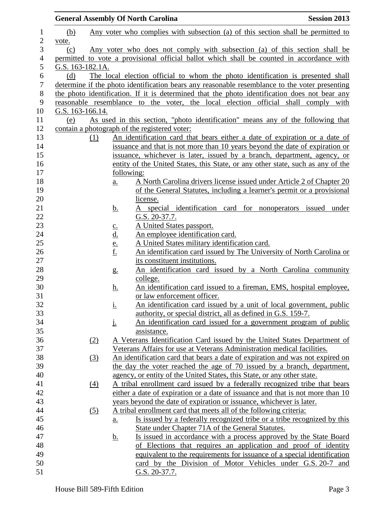|                  |                  |                   |                            | <b>General Assembly Of North Carolina</b>     |                                                                                                                                              | <b>Session 2013</b> |
|------------------|------------------|-------------------|----------------------------|-----------------------------------------------|----------------------------------------------------------------------------------------------------------------------------------------------|---------------------|
| $\mathbf{1}$     | (b)              |                   |                            |                                               | Any voter who complies with subsection (a) of this section shall be permitted to                                                             |                     |
| $\overline{c}$   | vote.            |                   |                            |                                               |                                                                                                                                              |                     |
| 3                | (c)              |                   |                            |                                               | Any voter who does not comply with subsection (a) of this section shall be                                                                   |                     |
| 4                |                  |                   |                            |                                               | permitted to vote a provisional official ballot which shall be counted in accordance with                                                    |                     |
| 5                | G.S. 163-182.1A. |                   |                            |                                               |                                                                                                                                              |                     |
| 6                | (d)              |                   |                            |                                               | The local election official to whom the photo identification is presented shall                                                              |                     |
| $\boldsymbol{7}$ |                  |                   |                            |                                               | determine if the photo identification bears any reasonable resemblance to the voter presenting                                               |                     |
| $8\,$            |                  |                   |                            |                                               | the photo identification. If it is determined that the photo identification does not bear any                                                |                     |
| 9                |                  |                   |                            |                                               | reasonable resemblance to the voter, the local election official shall comply with                                                           |                     |
| 10               | G.S. 163-166.14. |                   |                            |                                               |                                                                                                                                              |                     |
| 11               | (e)              |                   |                            |                                               | As used in this section, "photo identification" means any of the following that                                                              |                     |
| 12               |                  |                   |                            | contain a photograph of the registered voter: |                                                                                                                                              |                     |
| 13               |                  | (1)               |                            |                                               | An identification card that bears either a date of expiration or a date of                                                                   |                     |
| 14               |                  |                   |                            |                                               | issuance and that is not more than 10 years beyond the date of expiration or                                                                 |                     |
| 15               |                  |                   |                            |                                               | issuance, whichever is later, issued by a branch, department, agency, or                                                                     |                     |
| 16               |                  |                   |                            |                                               | entity of the United States, this State, or any other state, such as any of the                                                              |                     |
| 17               |                  |                   |                            | following:                                    |                                                                                                                                              |                     |
| 18               |                  |                   | $\underline{a}$ .          |                                               | A North Carolina drivers license issued under Article 2 of Chapter 20                                                                        |                     |
| 19               |                  |                   |                            |                                               | of the General Statutes, including a learner's permit or a provisional                                                                       |                     |
| 20               |                  |                   |                            | license.                                      |                                                                                                                                              |                     |
| 21<br>22         |                  |                   | <u>b.</u>                  |                                               | A special identification card for nonoperators issued under                                                                                  |                     |
| 23               |                  |                   |                            | G.S. 20-37.7.<br>A United States passport.    |                                                                                                                                              |                     |
| 24               |                  |                   | $\underline{\mathbf{c}}$ . | An employee identification card.              |                                                                                                                                              |                     |
| 25               |                  |                   | $\frac{d}{e}$ .<br>f.      |                                               | A United States military identification card.                                                                                                |                     |
| 26               |                  |                   |                            |                                               | An identification card issued by The University of North Carolina or                                                                         |                     |
| $27\,$           |                  |                   |                            | its constituent institutions.                 |                                                                                                                                              |                     |
| 28               |                  |                   | g <sub>1</sub>             |                                               | An identification card issued by a North Carolina community                                                                                  |                     |
| 29               |                  |                   |                            | college.                                      |                                                                                                                                              |                     |
| 30               |                  |                   | <u>h.</u>                  |                                               | An identification card issued to a fireman, EMS, hospital employee,                                                                          |                     |
| 31               |                  |                   |                            | or law enforcement officer.                   |                                                                                                                                              |                     |
| 32               |                  |                   | <u>i.</u>                  |                                               | An identification card issued by a unit of local government, public                                                                          |                     |
| 33               |                  |                   |                            |                                               | authority, or special district, all as defined in G.S. 159-7.                                                                                |                     |
| 34               |                  |                   | <u>j.</u>                  |                                               | An identification card issued for a government program of public                                                                             |                     |
| 35               |                  |                   |                            | assistance.                                   |                                                                                                                                              |                     |
| 36               |                  | (2)               |                            |                                               | A Veterans Identification Card issued by the United States Department of                                                                     |                     |
| 37               |                  |                   |                            |                                               | Veterans Affairs for use at Veterans Administration medical facilities.                                                                      |                     |
| 38               |                  | $\left(3\right)$  |                            |                                               | An identification card that bears a date of expiration and was not expired on                                                                |                     |
| 39               |                  |                   |                            |                                               | the day the voter reached the age of 70 issued by a branch, department,                                                                      |                     |
| 40               |                  |                   |                            |                                               | agency, or entity of the United States, this State, or any other state.                                                                      |                     |
| 41               |                  | $\underline{(4)}$ |                            |                                               | A tribal enrollment card issued by a federally recognized tribe that bears                                                                   |                     |
| 42               |                  |                   |                            |                                               | either a date of expiration or a date of issuance and that is not more than 10                                                               |                     |
| 43               |                  |                   |                            |                                               | years beyond the date of expiration or issuance, whichever is later.                                                                         |                     |
| 44               |                  | $\left( 5\right)$ |                            |                                               | A tribal enrollment card that meets all of the following criteria:                                                                           |                     |
| 45<br>46         |                  |                   | <u>a.</u>                  |                                               | Is issued by a federally recognized tribe or a tribe recognized by this<br>State under Chapter 71A of the General Statutes.                  |                     |
| 47               |                  |                   |                            |                                               |                                                                                                                                              |                     |
| 48               |                  |                   | <u>b.</u>                  |                                               | <u>Is issued in accordance with a process approved by the State Board</u><br>of Elections that requires an application and proof of identity |                     |
| 49               |                  |                   |                            |                                               | equivalent to the requirements for issuance of a special identification                                                                      |                     |
| 50               |                  |                   |                            |                                               | card by the Division of Motor Vehicles under G.S. 20-7 and                                                                                   |                     |
| 51               |                  |                   |                            | G.S. 20-37.7.                                 |                                                                                                                                              |                     |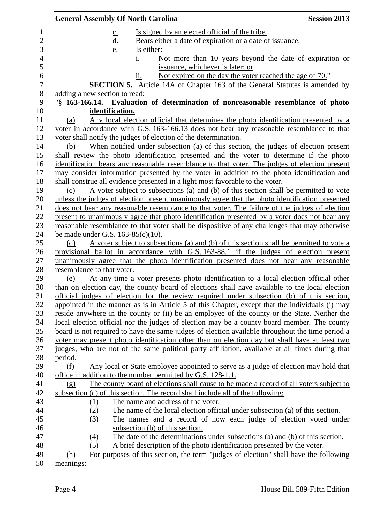|                            | <b>General Assembly Of North Carolina</b>                                                        | <b>Session 2013</b> |
|----------------------------|--------------------------------------------------------------------------------------------------|---------------------|
|                            | Is signed by an elected official of the tribe.<br>$\underline{c}$ .                              |                     |
|                            | <u>d.</u><br>Bears either a date of expiration or a date of issuance.                            |                     |
|                            | Is either:<br>e.                                                                                 |                     |
|                            | Not more than 10 years beyond the date of expiration or<br>i.                                    |                     |
|                            | issuance, whichever is later; or                                                                 |                     |
|                            | Not expired on the day the voter reached the age of 70."<br>11.                                  |                     |
|                            | <b>SECTION 5.</b> Article 14A of Chapter 163 of the General Statutes is amended by               |                     |
|                            | adding a new section to read:                                                                    |                     |
|                            | "§ 163-166.14. Evaluation of determination of nonreasonable resemblance of photo                 |                     |
|                            | identification.                                                                                  |                     |
| (a)                        | Any local election official that determines the photo identification presented by a              |                     |
|                            | voter in accordance with G.S. 163-166.13 does not bear any reasonable resemblance to that        |                     |
|                            | voter shall notify the judges of election of the determination.                                  |                     |
| (b)                        | When notified under subsection (a) of this section, the judges of election present               |                     |
|                            | shall review the photo identification presented and the voter to determine if the photo          |                     |
|                            | identification bears any reasonable resemblance to that voter. The judges of election present    |                     |
|                            | may consider information presented by the voter in addition to the photo identification and      |                     |
|                            | shall construe all evidence presented in a light most favorable to the voter.                    |                     |
| (c)                        | A voter subject to subsections (a) and (b) of this section shall be permitted to vote            |                     |
|                            | unless the judges of election present unanimously agree that the photo identification presented  |                     |
|                            | does not bear any reasonable resemblance to that voter. The failure of the judges of election    |                     |
|                            | present to unanimously agree that photo identification presented by a voter does not bear any    |                     |
|                            | reasonable resemblance to that voter shall be dispositive of any challenges that may otherwise   |                     |
|                            | be made under G.S. $163-85(c)(10)$ .                                                             |                     |
| (d)                        | A voter subject to subsections (a) and (b) of this section shall be permitted to vote a          |                     |
|                            | provisional ballot in accordance with G.S. 163-88.1 if the judges of election present            |                     |
|                            | unanimously agree that the photo identification presented does not bear any reasonable           |                     |
| resemblance to that voter. |                                                                                                  |                     |
| (e)                        | At any time a voter presents photo identification to a local election official other             |                     |
|                            | than on election day, the county board of elections shall have available to the local election   |                     |
|                            | official judges of election for the review required under subsection (b) of this section,        |                     |
|                            | appointed in the manner as is in Article 5 of this Chapter, except that the individuals (i) may  |                     |
|                            | reside anywhere in the county or (ii) be an employee of the county or the State. Neither the     |                     |
|                            | local election official nor the judges of election may be a county board member. The county      |                     |
|                            | board is not required to have the same judges of election available throughout the time period a |                     |
|                            | voter may present photo identification other than on election day but shall have at least two    |                     |
|                            | judges, who are not of the same political party affiliation, available at all times during that  |                     |
| period.                    |                                                                                                  |                     |
| (f)                        | Any local or State employee appointed to serve as a judge of election may hold that              |                     |
|                            | office in addition to the number permitted by G.S. 128-1.1.                                      |                     |
| (g)                        | The county board of elections shall cause to be made a record of all voters subject to           |                     |
|                            | subsection (c) of this section. The record shall include all of the following:                   |                     |
| (1)                        | The name and address of the voter.                                                               |                     |
| (2)                        | The name of the local election official under subsection (a) of this section.                    |                     |
| (3)                        | The names and a record of how each judge of election voted under                                 |                     |
|                            | subsection (b) of this section.                                                                  |                     |
| (4)                        | The date of the determinations under subsections (a) and (b) of this section.                    |                     |
| (5)                        | A brief description of the photo identification presented by the voter.                          |                     |
| (h)                        | For purposes of this section, the term "judges of election" shall have the following             |                     |
| meanings:                  |                                                                                                  |                     |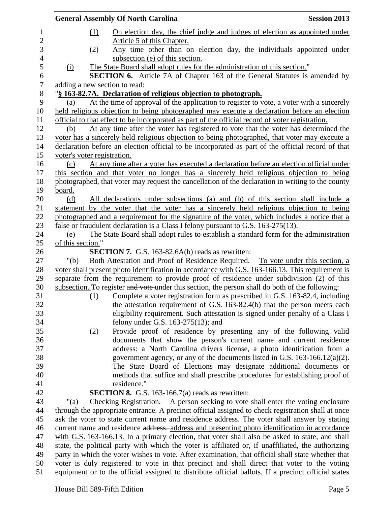|                | <b>General Assembly Of North Carolina</b>                                                           | <b>Session 2013</b> |
|----------------|-----------------------------------------------------------------------------------------------------|---------------------|
| $\mathbf{1}$   | On election day, the chief judge and judges of election as appointed under<br>(1)                   |                     |
| $\mathbf{2}$   | Article 5 of this Chapter.                                                                          |                     |
| 3              | Any time other than on election day, the individuals appointed under<br>(2)                         |                     |
| $\overline{4}$ | subsection (e) of this section.                                                                     |                     |
| 5              | The State Board shall adopt rules for the administration of this section."<br>(i)                   |                     |
| 6              | <b>SECTION 6.</b> Article 7A of Chapter 163 of the General Statutes is amended by                   |                     |
| $\overline{7}$ | adding a new section to read:                                                                       |                     |
| $8\,$          | "§ 163-82.7A. Declaration of religious objection to photograph.                                     |                     |
| 9              | At the time of approval of the application to register to vote, a voter with a sincerely<br>(a)     |                     |
| 10             | held religious objection to being photographed may execute a declaration before an election         |                     |
| 11             | official to that effect to be incorporated as part of the official record of voter registration.    |                     |
| 12             | At any time after the voter has registered to vote that the voter has determined the<br>(b)         |                     |
| 13             | voter has a sincerely held religious objection to being photographed, that voter may execute a      |                     |
| 14             | declaration before an election official to be incorporated as part of the official record of that   |                     |
| 15             | voter's voter registration.                                                                         |                     |
| 16             | At any time after a voter has executed a declaration before an election official under<br>(c)       |                     |
| 17             | this section and that voter no longer has a sincerely held religious objection to being             |                     |
| 18             | photographed, that voter may request the cancellation of the declaration in writing to the county   |                     |
| 19             | board.                                                                                              |                     |
| 20             | All declarations under subsections (a) and (b) of this section shall include a<br>(d)               |                     |
| 21             | statement by the voter that the voter has a sincerely held religious objection to being             |                     |
| 22             | photographed and a requirement for the signature of the voter, which includes a notice that a       |                     |
| 23             | false or fraudulent declaration is a Class I felony pursuant to G.S. 163-275(13).                   |                     |
| 24             | The State Board shall adopt rules to establish a standard form for the administration<br>(e)        |                     |
| 25             | of this section."                                                                                   |                     |
| 26             | <b>SECTION 7.</b> G.S. 163-82.6A(b) reads as rewritten:                                             |                     |
| 27             | Both Attestation and Proof of Residence Required. – To vote under this section, a<br>" $(b)$        |                     |
| 28             | voter shall present photo identification in accordance with G.S. 163-166.13. This requirement is    |                     |
| 29             | separate from the requirement to provide proof of residence under subdivision (2) of this           |                     |
| 30             | subsection. To register and vote under this section, the person shall do both of the following:     |                     |
| 31             | Complete a voter registration form as prescribed in G.S. 163-82.4, including<br>(1)                 |                     |
| 32             | the attestation requirement of G.S. 163-82.4(b) that the person meets each                          |                     |
| 33             | eligibility requirement. Such attestation is signed under penalty of a Class I                      |                     |
| 34             | felony under G.S. $163-275(13)$ ; and                                                               |                     |
| 35             | Provide proof of residence by presenting any of the following valid<br>(2)                          |                     |
| 36             | documents that show the person's current name and current residence                                 |                     |
| 37             | address: a North Carolina drivers license, a photo identification from a                            |                     |
| 38             | government agency, or any of the documents listed in G.S. $163-166.12(a)(2)$ .                      |                     |
| 39             | The State Board of Elections may designate additional documents or                                  |                     |
| 40             | methods that suffice and shall prescribe procedures for establishing proof of                       |                     |
| 41             | residence."                                                                                         |                     |
| 42             | <b>SECTION 8.</b> G.S. 163-166.7(a) reads as rewritten:                                             |                     |
| 43             | Checking Registration. $-$ A person seeking to vote shall enter the voting enclosure<br>"(a)        |                     |
| 44             | through the appropriate entrance. A precinct official assigned to check registration shall at once  |                     |
| 45             | ask the voter to state current name and residence address. The voter shall answer by stating        |                     |
| 46             | current name and residence address. address and presenting photo identification in accordance       |                     |
| 47             | with G.S. 163-166.13. In a primary election, that voter shall also be asked to state, and shall     |                     |
| 48             | state, the political party with which the voter is affiliated or, if unaffiliated, the authorizing  |                     |
| 49             | party in which the voter wishes to vote. After examination, that official shall state whether that  |                     |
| 50             | voter is duly registered to vote in that precinct and shall direct that voter to the voting         |                     |
| 51             | equipment or to the official assigned to distribute official ballots. If a precinct official states |                     |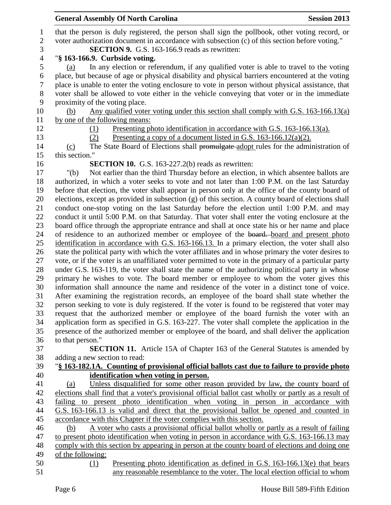|                | <b>General Assembly Of North Carolina</b><br><b>Session 2013</b>                                                                                                  |
|----------------|-------------------------------------------------------------------------------------------------------------------------------------------------------------------|
| $\mathbf{1}$   | that the person is duly registered, the person shall sign the pollbook, other voting record, or                                                                   |
| $\sqrt{2}$     | voter authorization document in accordance with subsection (c) of this section before voting."                                                                    |
| 3              | <b>SECTION 9.</b> G.S. 163-166.9 reads as rewritten:                                                                                                              |
| $\overline{4}$ | "§ 163-166.9. Curbside voting.                                                                                                                                    |
| 5              | In any election or referendum, if any qualified voter is able to travel to the voting<br>(a)                                                                      |
| 6              | place, but because of age or physical disability and physical barriers encountered at the voting                                                                  |
| 7              | place is unable to enter the voting enclosure to vote in person without physical assistance, that                                                                 |
| 8              | voter shall be allowed to vote either in the vehicle conveying that voter or in the immediate                                                                     |
| 9              | proximity of the voting place.                                                                                                                                    |
| 10             | Any qualified voter voting under this section shall comply with G.S. $163-166.13(a)$<br>(b)                                                                       |
| 11             | by one of the following means:                                                                                                                                    |
| 12             | Presenting photo identification in accordance with G.S. 163-166.13(a).<br>(1)                                                                                     |
| 13             | Presenting a copy of a document listed in G.S. $163-166.12(a)(2)$ .<br>(2)                                                                                        |
| 14             | The State Board of Elections shall promulgate adopt rules for the administration of<br>(c)                                                                        |
| 15             | this section.'                                                                                                                                                    |
| 16             | <b>SECTION 10.</b> G.S. $163-227.2(b)$ reads as rewritten:                                                                                                        |
| 17             | Not earlier than the third Thursday before an election, in which absentee ballots are<br>" $(b)$                                                                  |
| 18             | authorized, in which a voter seeks to vote and not later than 1:00 P.M. on the last Saturday                                                                      |
| 19             | before that election, the voter shall appear in person only at the office of the county board of                                                                  |
| 20             | elections, except as provided in subsection (g) of this section. A county board of elections shall                                                                |
| 21             | conduct one-stop voting on the last Saturday before the election until 1:00 P.M. and may                                                                          |
| 22             | conduct it until 5:00 P.M. on that Saturday. That voter shall enter the voting enclosure at the                                                                   |
| 23             | board office through the appropriate entrance and shall at once state his or her name and place                                                                   |
| 24             | of residence to an authorized member or employee of the board. board and present photo                                                                            |
| 25             | identification in accordance with G.S. 163-166.13. In a primary election, the voter shall also                                                                    |
| 26             | state the political party with which the voter affiliates and in whose primary the voter desires to                                                               |
| 27             | vote, or if the voter is an unaffiliated voter permitted to vote in the primary of a particular party                                                             |
| 28             | under G.S. 163-119, the voter shall state the name of the authorizing political party in whose                                                                    |
| 29             | primary he wishes to vote. The board member or employee to whom the voter gives this                                                                              |
| 30             | information shall announce the name and residence of the voter in a distinct tone of voice.                                                                       |
| 31             | After examining the registration records, an employee of the board shall state whether the                                                                        |
| 32             | person seeking to vote is duly registered. If the voter is found to be registered that voter may                                                                  |
| 33             | request that the authorized member or employee of the board furnish the voter with an                                                                             |
| 34             | application form as specified in G.S. 163-227. The voter shall complete the application in the                                                                    |
| 35             | presence of the authorized member or employee of the board, and shall deliver the application                                                                     |
| 36             | to that person."                                                                                                                                                  |
| 37             | <b>SECTION 11.</b> Article 15A of Chapter 163 of the General Statutes is amended by                                                                               |
| 38             | adding a new section to read:                                                                                                                                     |
| 39             | "§ 163-182.1A. Counting of provisional official ballots cast due to failure to provide photo                                                                      |
| 40             | identification when voting in person.                                                                                                                             |
| 41             | Unless disqualified for some other reason provided by law, the county board of<br>(a)                                                                             |
| 42             | elections shall find that a voter's provisional official ballot cast wholly or partly as a result of                                                              |
| 43             | failing to present photo identification when voting in person in accordance with                                                                                  |
| 44<br>45       | G.S. 163-166.13 is valid and direct that the provisional ballot be opened and counted in<br>accordance with this Chapter if the voter complies with this section. |
| 46             | A voter who casts a provisional official ballot wholly or partly as a result of failing<br>(b)                                                                    |
| 47             | to present photo identification when voting in person in accordance with G.S. 163-166.13 may                                                                      |
| 48             | comply with this section by appearing in person at the county board of elections and doing one                                                                    |
| 49             | of the following:                                                                                                                                                 |
| 50             | Presenting photo identification as defined in G.S. $163-166.13(e)$ that bears<br>(1)                                                                              |
| 51             | any reasonable resemblance to the voter. The local election official to whom                                                                                      |
|                |                                                                                                                                                                   |
|                | House Bill 589-Fifth Edition<br>Page 6                                                                                                                            |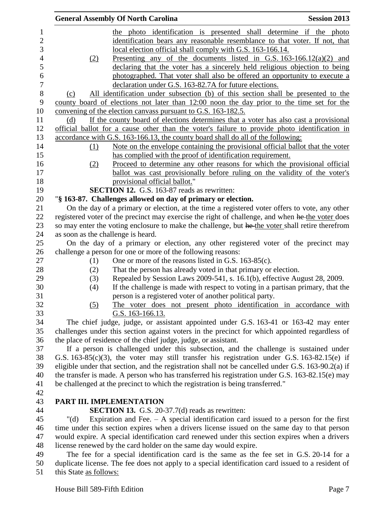|         | <b>General Assembly Of North Carolina</b>                                                          | <b>Session 2013</b> |
|---------|----------------------------------------------------------------------------------------------------|---------------------|
|         | the photo identification is presented shall determine if the photo                                 |                     |
|         | identification bears any reasonable resemblance to that voter. If not, that                        |                     |
|         | local election official shall comply with G.S. 163-166.14.                                         |                     |
| (2)     | Presenting any of the documents listed in G.S. $163-166.12(a)(2)$ and                              |                     |
|         | declaring that the voter has a sincerely held religious objection to being                         |                     |
|         | photographed. That voter shall also be offered an opportunity to execute a                         |                     |
|         | declaration under G.S. 163-82.7A for future elections.                                             |                     |
| (c)     | All identification under subsection (b) of this section shall be presented to the                  |                     |
|         | county board of elections not later than 12:00 noon the day prior to the time set for the          |                     |
|         | convening of the election canvass pursuant to G.S. 163-182.5.                                      |                     |
| (d)     | If the county board of elections determines that a voter has also cast a provisional               |                     |
|         | official ballot for a cause other than the voter's failure to provide photo identification in      |                     |
|         | accordance with G.S. 163-166.13, the county board shall do all of the following:                   |                     |
| (1)     | Note on the envelope containing the provisional official ballot that the voter                     |                     |
|         | has complied with the proof of identification requirement.                                         |                     |
| (2)     | Proceed to determine any other reasons for which the provisional official                          |                     |
|         | ballot was cast provisionally before ruling on the validity of the voter's                         |                     |
|         | provisional official ballot."                                                                      |                     |
|         | <b>SECTION 12.</b> G.S. 163-87 reads as rewritten:                                                 |                     |
|         | "§ 163-87. Challenges allowed on day of primary or election.                                       |                     |
|         | On the day of a primary or election, at the time a registered voter offers to vote, any other      |                     |
|         | registered voter of the precinct may exercise the right of challenge, and when he the voter does   |                     |
|         | so may enter the voting enclosure to make the challenge, but he the voter shall retire therefrom   |                     |
|         | as soon as the challenge is heard.                                                                 |                     |
|         | On the day of a primary or election, any other registered voter of the precinct may                |                     |
|         | challenge a person for one or more of the following reasons:                                       |                     |
| (1)     | One or more of the reasons listed in G.S. 163-85(c).                                               |                     |
| (2)     | That the person has already voted in that primary or election.                                     |                     |
| (3)     | Repealed by Session Laws 2009-541, s. 16.1(b), effective August 28, 2009.                          |                     |
| (4)     | If the challenge is made with respect to voting in a partisan primary, that the                    |                     |
|         | person is a registered voter of another political party.                                           |                     |
| (5)     | The voter does not present photo identification in accordance with                                 |                     |
|         | <u>G.S. 163-166.13.</u>                                                                            |                     |
|         | The chief judge, judge, or assistant appointed under G.S. 163-41 or 163-42 may enter               |                     |
|         | challenges under this section against voters in the precinct for which appointed regardless of     |                     |
|         | the place of residence of the chief judge, judge, or assistant.                                    |                     |
|         | If a person is challenged under this subsection, and the challenge is sustained under              |                     |
|         | G.S. $163-85(c)(3)$ , the voter may still transfer his registration under G.S. $163-82.15(e)$ if   |                     |
|         | eligible under that section, and the registration shall not be cancelled under G.S. 163-90.2(a) if |                     |
|         | the transfer is made. A person who has transferred his registration under G.S. 163-82.15(e) may    |                     |
|         | be challenged at the precinct to which the registration is being transferred."                     |                     |
|         |                                                                                                    |                     |
|         | PART III. IMPLEMENTATION                                                                           |                     |
|         |                                                                                                    |                     |
|         | <b>SECTION 13.</b> G.S. $20-37.7(d)$ reads as rewritten:                                           |                     |
| " $(d)$ | Expiration and Fee. $-$ A special identification card issued to a person for the first             |                     |
|         | time under this section expires when a drivers license issued on the same day to that person       |                     |
|         | would expire. A special identification card renewed under this section expires when a drivers      |                     |
|         | license renewed by the card holder on the same day would expire.                                   |                     |
|         | The fee for a special identification card is the same as the fee set in G.S. 20-14 for a           |                     |

 duplicate license. The fee does not apply to a special identification card issued to a resident of 51 this State <u>as follows:</u>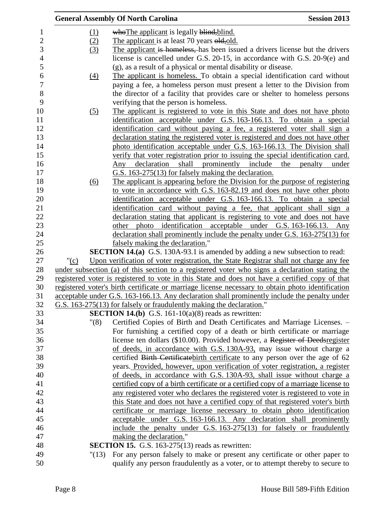|         |                   | <b>General Assembly Of North Carolina</b>                                                         | <b>Session 2013</b> |
|---------|-------------------|---------------------------------------------------------------------------------------------------|---------------------|
|         | (1)               | who The applicant is legally blind, blind.                                                        |                     |
|         | (2)               | The applicant is at least 70 years old, old.                                                      |                     |
|         | (3)               | The applicant is homeless, has been issued a drivers license but the drivers                      |                     |
|         |                   | license is cancelled under G.S. 20-15, in accordance with G.S. 20-9(e) and                        |                     |
|         |                   | (g), as a result of a physical or mental disability or disease.                                   |                     |
|         | $\underline{(4)}$ | The applicant is homeless. To obtain a special identification card without                        |                     |
|         |                   | paying a fee, a homeless person must present a letter to the Division from                        |                     |
|         |                   | the director of a facility that provides care or shelter to homeless persons                      |                     |
|         |                   | verifying that the person is homeless.                                                            |                     |
|         | $\left( 5\right)$ | The applicant is registered to vote in this State and does not have photo                         |                     |
|         |                   | identification acceptable under G.S. 163-166.13. To obtain a special                              |                     |
|         |                   | <u>identification card without paying a fee, a registered voter shall sign a</u>                  |                     |
|         |                   | declaration stating the registered voter is registered and does not have other                    |                     |
|         |                   | photo identification acceptable under G.S. 163-166.13. The Division shall                         |                     |
|         |                   | verify that voter registration prior to issuing the special identification card.                  |                     |
|         |                   | declaration<br>shall prominently include the<br>Any                                               | penalty<br>under    |
|         |                   | G.S. 163-275(13) for falsely making the declaration.                                              |                     |
|         | $\underline{(6)}$ | The applicant is appearing before the Division for the purpose of registering                     |                     |
|         |                   | to vote in accordance with G.S. 163-82.19 and does not have other photo                           |                     |
|         |                   | identification acceptable under G.S. 163-166.13. To obtain a special                              |                     |
|         |                   | identification card without paying a fee, that applicant shall sign a                             |                     |
|         |                   | declaration stating that applicant is registering to vote and does not have                       |                     |
|         |                   | photo identification acceptable under G.S. 163-166.13. Any<br>other                               |                     |
|         |                   | declaration shall prominently include the penalty under G.S. 163-275(13) for                      |                     |
|         |                   | falsely making the declaration."                                                                  |                     |
|         |                   | <b>SECTION 14.(a)</b> G.S. 130A-93.1 is amended by adding a new subsection to read:               |                     |
| " $(c)$ |                   | Upon verification of voter registration, the State Registrar shall not charge any fee             |                     |
|         |                   | under subsection (a) of this section to a registered voter who signs a declaration stating the    |                     |
|         |                   | registered voter is registered to vote in this State and does not have a certified copy of that   |                     |
|         |                   | registered voter's birth certificate or marriage license necessary to obtain photo identification |                     |
|         |                   | acceptable under G.S. 163-166.13. Any declaration shall prominently include the penalty under     |                     |
|         |                   | G.S. 163-275(13) for falsely or fraudulently making the declaration."                             |                     |
|         |                   | <b>SECTION 14.(b)</b> G.S. 161-10(a)(8) reads as rewritten:                                       |                     |
|         | "(8)              | Certified Copies of Birth and Death Certificates and Marriage Licenses. -                         |                     |
|         |                   | For furnishing a certified copy of a death or birth certificate or marriage                       |                     |
|         |                   | license ten dollars (\$10.00). Provided however, a Register of Deedsregister                      |                     |
|         |                   | of deeds, in accordance with G.S. 130A-93, may issue without charge a                             |                     |
|         |                   | certified Birth Certificate birth certificate to any person over the age of 62                    |                     |
|         |                   | years. Provided, however, upon verification of voter registration, a register                     |                     |
|         |                   | of deeds, in accordance with G.S. 130A-93, shall issue without charge a                           |                     |
|         |                   | certified copy of a birth certificate or a certified copy of a marriage license to                |                     |
|         |                   | any registered voter who declares the registered voter is registered to vote in                   |                     |
|         |                   | this State and does not have a certified copy of that registered voter's birth                    |                     |
|         |                   | certificate or marriage license necessary to obtain photo identification                          |                     |
|         |                   | acceptable under G.S. 163-166.13. Any declaration shall prominently                               |                     |
|         |                   | include the penalty under G.S. 163-275(13) for falsely or fraudulently                            |                     |
|         |                   | making the declaration."                                                                          |                     |
|         |                   | <b>SECTION 15.</b> G.S. 163-275(13) reads as rewritten:                                           |                     |
|         | "(13)             | For any person falsely to make or present any certificate or other paper to                       |                     |
|         |                   | qualify any person fraudulently as a voter, or to attempt thereby to secure to                    |                     |
|         |                   |                                                                                                   |                     |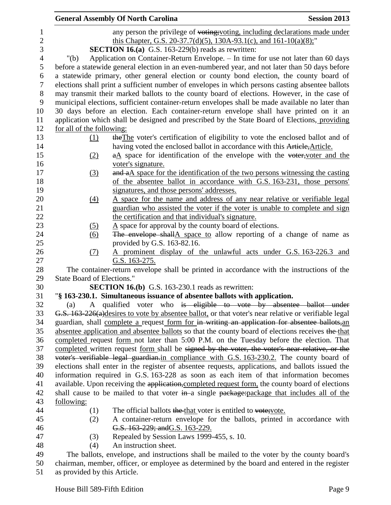|            | <b>General Assembly Of North Carolina</b>                                                             | <b>Session 2013</b> |
|------------|-------------------------------------------------------------------------------------------------------|---------------------|
|            | any person the privilege of voting; voting, including declarations made under                         |                     |
|            | this Chapter, G.S. 20-37.7(d)(5), 130A-93.1(c), and $161-10(a)(8)$ ;"                                 |                     |
|            | <b>SECTION 16.(a)</b> G.S. 163-229(b) reads as rewritten:                                             |                     |
| " $(b)$    | Application on Container-Return Envelope. - In time for use not later than 60 days                    |                     |
|            | before a statewide general election in an even-numbered year, and not later than 50 days before       |                     |
|            | a statewide primary, other general election or county bond election, the county board of              |                     |
|            | elections shall print a sufficient number of envelopes in which persons casting absentee ballots      |                     |
|            | may transmit their marked ballots to the county board of elections. However, in the case of           |                     |
|            | municipal elections, sufficient container-return envelopes shall be made available no later than      |                     |
|            | 30 days before an election. Each container-return envelope shall have printed on it an                |                     |
|            | application which shall be designed and prescribed by the State Board of Elections, providing         |                     |
|            | for all of the following:                                                                             |                     |
|            | the The voter's certification of eligibility to vote the enclosed ballot and of<br>(1)                |                     |
|            | having voted the enclosed ballot in accordance with this Article, Article.                            |                     |
|            | $a\Delta$ space for identification of the envelope with the voter, voter and the<br>(2)               |                     |
|            | voter's signature.                                                                                    |                     |
|            | and a A space for the identification of the two persons witnessing the casting<br>(3)                 |                     |
|            | of the absentee ballot in accordance with G.S. 163-231, those persons'                                |                     |
|            | signatures, and those persons' addresses.                                                             |                     |
|            | A space for the name and address of any near relative or verifiable legal<br>(4)                      |                     |
|            | guardian who assisted the voter if the voter is unable to complete and sign                           |                     |
|            | the certification and that individual's signature.                                                    |                     |
|            | $\underline{A}$ space for approval by the county board of elections.<br><u>(5)</u>                    |                     |
|            | The envelope shallA space to allow reporting of a change of name as<br>$\underline{(6)}$              |                     |
|            | provided by G.S. 163-82.16.<br>(7)                                                                    |                     |
|            | A prominent display of the unlawful acts under G.S. 163-226.3 and<br>G.S. 163-275.                    |                     |
|            | The container-return envelope shall be printed in accordance with the instructions of the             |                     |
|            | <b>State Board of Elections."</b>                                                                     |                     |
|            | <b>SECTION 16.(b)</b> G.S. 163-230.1 reads as rewritten:                                              |                     |
|            | "§ 163-230.1. Simultaneous issuance of absentee ballots with application.                             |                     |
| (a)        | A qualified voter who is eligible to vote by absentee ballot under                                    |                     |
|            | G.S. 163-226(a) desires to vote by absentee ballot, or that voter's near relative or verifiable legal |                     |
|            | guardian, shall complete a request form for in writing an application for absentee ballots, an        |                     |
|            | absentee application and absentee ballots so that the county board of elections receives the that     |                     |
|            | completed request form not later than 5:00 P.M. on the Tuesday before the election. That              |                     |
|            | completed written request form shall be signed by the voter, the voter's near relative, or the        |                     |
|            | voter's verifiable legal guardian.in compliance with G.S. 163-230.2. The county board of              |                     |
|            | elections shall enter in the register of absentee requests, applications, and ballots issued the      |                     |
|            | information required in G.S. 163-228 as soon as each item of that information becomes                 |                     |
|            | available. Upon receiving the application, completed request form, the county board of elections      |                     |
|            | shall cause to be mailed to that voter in a single package: package that includes all of the          |                     |
| following: |                                                                                                       |                     |
|            | The official ballots the that voter is entitled to vote; vote.<br>(1)                                 |                     |
|            | A container-return envelope for the ballots, printed in accordance with<br>(2)                        |                     |
|            | G.S. 163-229; and G.S. 163-229.                                                                       |                     |
|            | Repealed by Session Laws 1999-455, s. 10.<br>(3)                                                      |                     |
|            | An instruction sheet.<br>(4)                                                                          |                     |
|            | The ballots, envelope, and instructions shall be mailed to the voter by the county board's            |                     |

 chairman, member, officer, or employee as determined by the board and entered in the register as provided by this Article.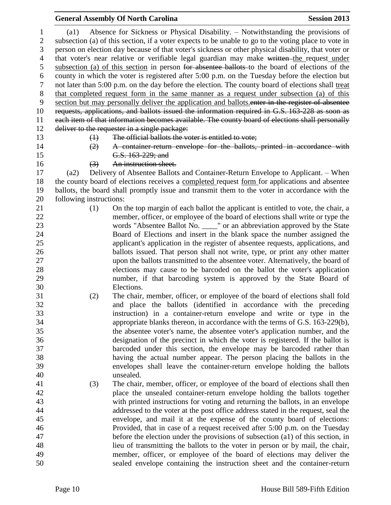# **General Assembly Of North Carolina Session 2013**

|                                |                         | Absence for Sickness or Physical Disability. - Notwithstanding the provisions of                     |
|--------------------------------|-------------------------|------------------------------------------------------------------------------------------------------|
| $\mathbf{1}$<br>$\overline{2}$ | $\left( a1\right)$      | subsection (a) of this section, if a voter expects to be unable to go to the voting place to vote in |
| 3                              |                         | person on election day because of that voter's sickness or other physical disability, that voter or  |
|                                |                         |                                                                                                      |
| $\overline{4}$                 |                         | that voter's near relative or verifiable legal guardian may make written the request under           |
| 5                              |                         | subsection (a) of this section in person for absentee ballots to the board of elections of the       |
| 6                              |                         | county in which the voter is registered after 5:00 p.m. on the Tuesday before the election but       |
| $\boldsymbol{7}$               |                         | not later than 5:00 p.m. on the day before the election. The county board of elections shall treat   |
| $8\,$                          |                         | that completed request form in the same manner as a request under subsection (a) of this             |
| 9                              |                         | section but may personally deliver the application and ballots enter in the register of absentee     |
| 10                             |                         | requests, applications, and ballots issued the information required in G.S. 163-228 as soon as       |
| 11                             |                         | each item of that information becomes available. The county board of elections shall personally      |
| 12                             |                         | deliver to the requester in a single package:                                                        |
| 13                             | $\leftrightarrow$       | The official ballots the voter is entitled to vote;                                                  |
| 14                             | (2)                     | A container return envelope for the ballots, printed in accordance with                              |
| 15                             |                         | G.S. 163-229; and                                                                                    |
| 16                             | (3)                     | An instruction sheet.                                                                                |
| 17                             | (a2)                    | Delivery of Absentee Ballots and Container-Return Envelope to Applicant. – When                      |
| 18                             |                         | the county board of elections receives a completed request form for applications and absentee        |
| 19                             |                         | ballots, the board shall promptly issue and transmit them to the voter in accordance with the        |
| 20                             | following instructions: |                                                                                                      |
| 21                             | (1)                     | On the top margin of each ballot the applicant is entitled to vote, the chair, a                     |
| 22                             |                         | member, officer, or employee of the board of elections shall write or type the                       |
| 23                             |                         | words "Absentee Ballot No. ____" or an abbreviation approved by the State                            |
| 24                             |                         | Board of Elections and insert in the blank space the number assigned the                             |
| 25                             |                         | applicant's application in the register of absentee requests, applications, and                      |
| 26                             |                         | ballots issued. That person shall not write, type, or print any other matter                         |
| 27                             |                         | upon the ballots transmitted to the absentee voter. Alternatively, the board of                      |
| 28                             |                         | elections may cause to be barcoded on the ballot the voter's application                             |
| 29                             |                         | number, if that barcoding system is approved by the State Board of                                   |
| 30                             |                         | Elections.                                                                                           |
| 31                             | (2)                     | The chair, member, officer, or employee of the board of elections shall fold                         |
| 32                             |                         | and place the ballots (identified in accordance with the preceding                                   |
| 33                             |                         | instruction) in a container-return envelope and write or type in the                                 |
| 34                             |                         | appropriate blanks thereon, in accordance with the terms of G.S. 163-229(b),                         |
| 35                             |                         | the absentee voter's name, the absentee voter's application number, and the                          |
| 36                             |                         | designation of the precinct in which the voter is registered. If the ballot is                       |
| 37                             |                         | barcoded under this section, the envelope may be barcoded rather than                                |
| 38                             |                         | having the actual number appear. The person placing the ballots in the                               |
| 39                             |                         | envelopes shall leave the container-return envelope holding the ballots                              |
| 40                             |                         | unsealed.                                                                                            |
| 41                             | (3)                     | The chair, member, officer, or employee of the board of elections shall then                         |
| 42                             |                         | place the unsealed container-return envelope holding the ballots together                            |
| 43                             |                         | with printed instructions for voting and returning the ballots, in an envelope                       |
| 44                             |                         | addressed to the voter at the post office address stated in the request, seal the                    |
| 45                             |                         | envelope, and mail it at the expense of the county board of elections:                               |
| 46                             |                         | Provided, that in case of a request received after 5:00 p.m. on the Tuesday                          |
| 47                             |                         | before the election under the provisions of subsection (a1) of this section, in                      |
| 48                             |                         | lieu of transmitting the ballots to the voter in person or by mail, the chair,                       |
| 49                             |                         | member, officer, or employee of the board of elections may deliver the                               |
| 50                             |                         | sealed envelope containing the instruction sheet and the container-return                            |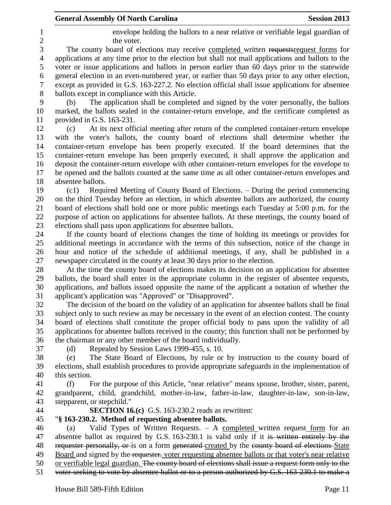### **General Assembly Of North Carolina Session 2013**

 envelope holding the ballots to a near relative or verifiable legal guardian of 2 the voter.

 The county board of elections may receive completed written requestsrequest forms for applications at any time prior to the election but shall not mail applications and ballots to the voter or issue applications and ballots in person earlier than 60 days prior to the statewide general election in an even-numbered year, or earlier than 50 days prior to any other election, except as provided in G.S. 163-227.2. No election official shall issue applications for absentee ballots except in compliance with this Article.

 (b) The application shall be completed and signed by the voter personally, the ballots marked, the ballots sealed in the container-return envelope, and the certificate completed as provided in G.S. 163-231.

 (c) At its next official meeting after return of the completed container-return envelope with the voter's ballots, the county board of elections shall determine whether the container-return envelope has been properly executed. If the board determines that the container-return envelope has been properly executed, it shall approve the application and deposit the container-return envelope with other container-return envelopes for the envelope to be opened and the ballots counted at the same time as all other container-return envelopes and absentee ballots.

 (c1) Required Meeting of County Board of Elections. – During the period commencing on the third Tuesday before an election, in which absentee ballots are authorized, the county board of elections shall hold one or more public meetings each Tuesday at 5:00 p.m. for the purpose of action on applications for absentee ballots. At these meetings, the county board of elections shall pass upon applications for absentee ballots.

 If the county board of elections changes the time of holding its meetings or provides for additional meetings in accordance with the terms of this subsection, notice of the change in hour and notice of the schedule of additional meetings, if any, shall be published in a newspaper circulated in the county at least 30 days prior to the election.

 At the time the county board of elections makes its decision on an application for absentee ballots, the board shall enter in the appropriate column in the register of absentee requests, applications, and ballots issued opposite the name of the applicant a notation of whether the applicant's application was "Approved" or "Disapproved".

 The decision of the board on the validity of an application for absentee ballots shall be final subject only to such review as may be necessary in the event of an election contest. The county board of elections shall constitute the proper official body to pass upon the validity of all applications for absentee ballots received in the county; this function shall not be performed by the chairman or any other member of the board individually.

(d) Repealed by Session Laws 1999-455, s. 10.

 (e) The State Board of Elections, by rule or by instruction to the county board of elections, shall establish procedures to provide appropriate safeguards in the implementation of this section.

 (f) For the purpose of this Article, "near relative" means spouse, brother, sister, parent, grandparent, child, grandchild, mother-in-law, father-in-law, daughter-in-law, son-in-law, stepparent, or stepchild."

**SECTION 16.(c)** G.S. 163-230.2 reads as rewritten:

# "**§ 163-230.2. Method of requesting absentee ballots.**

 (a) Valid Types of Written Requests. – A completed written request form for an 47 absentee ballot as required by G.S. 163-230.1 is valid only if it is written entirely by the 48 requester personally, or is on a form generated created by the county board of elections State 49 Board and signed by the requester. voter requesting absentee ballots or that voter's near relative or verifiable legal guardian. The county board of elections shall issue a request form only to the voter seeking to vote by absentee ballot or to a person authorized by G.S. 163-230.1 to make a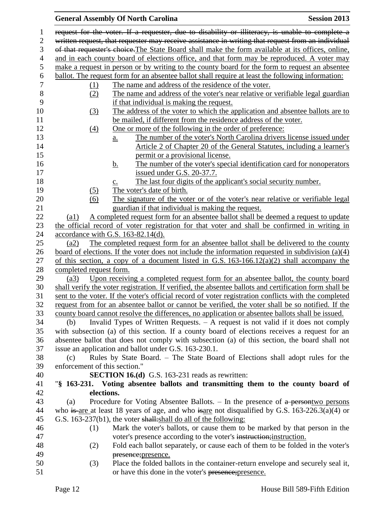### **General Assembly Of North Carolina Session 2013** request for the voter. If a requester, due to disability or illiteracy, is unable to complete a written request, that requester may receive assistance in writing that request from an individual of that requester's choice.The State Board shall make the form available at its offices, online, and in each county board of elections office, and that form may be reproduced. A voter may make a request in person or by writing to the county board for the form to request an absentee 6 ballot. The request form for an absentee ballot shall require at least the following information:<br>7 (1) The name and address of the residence of the voter. (1) The name and address of the residence of the voter. (2) The name and address of the voter's near relative or verifiable legal guardian if that individual is making the request. (3) The address of the voter to which the application and absentee ballots are to be mailed, if different from the residence address of the voter. (4) One or more of the following in the order of preference: a. The number of the voter's North Carolina drivers license issued under Article 2 of Chapter 20 of the General Statutes, including a learner's **permit or a provisional license.** 16 b. The number of the voter's special identification card for nonoperators issued under G.S. 20-37.7. 18 c. The last four digits of the applicant's social security number. 19 (5) The voter's date of birth. (6) The signature of the voter or of the voter's near relative or verifiable legal guardian if that individual is making the request. (a1) A completed request form for an absentee ballot shall be deemed a request to update the official record of voter registration for that voter and shall be confirmed in writing in accordance with G.S. 163-82.14(d). (a2) The completed request form for an absentee ballot shall be delivered to the county board of elections. If the voter does not include the information requested in subdivision (a)(4) 27 of this section, a copy of a document listed in G.S.  $163-166.12(a)(2)$  shall accompany the completed request form. (a3) Upon receiving a completed request form for an absentee ballot, the county board shall verify the voter registration. If verified, the absentee ballots and certification form shall be sent to the voter. If the voter's official record of voter registration conflicts with the completed request from for an absentee ballot or cannot be verified, the voter shall be so notified. If the county board cannot resolve the differences, no application or absentee ballots shall be issued. (b) Invalid Types of Written Requests. – A request is not valid if it does not comply with subsection (a) of this section. If a county board of elections receives a request for an absentee ballot that does not comply with subsection (a) of this section, the board shall not issue an application and ballot under G.S. 163-230.1. (c) Rules by State Board. – The State Board of Elections shall adopt rules for the enforcement of this section." **SECTION 16.(d)** G.S. 163-231 reads as rewritten: "**§ 163-231. Voting absentee ballots and transmitting them to the county board of elections.** (a) Procedure for Voting Absentee Ballots. – In the presence of a persontwo persons 44 who is are at least 18 years of age, and who is are not disqualified by G.S. 163-226.3(a)(4) or G.S. 163-237(b1), the voter shall:shall do all of the following: (1) Mark the voter's ballots, or cause them to be marked by that person in the voter's presence according to the voter's instruction;instruction. (2) Fold each ballot separately, or cause each of them to be folded in the voter's presence;presence. (3) Place the folded ballots in the container-return envelope and securely seal it, or have this done in the voter's presence;presence.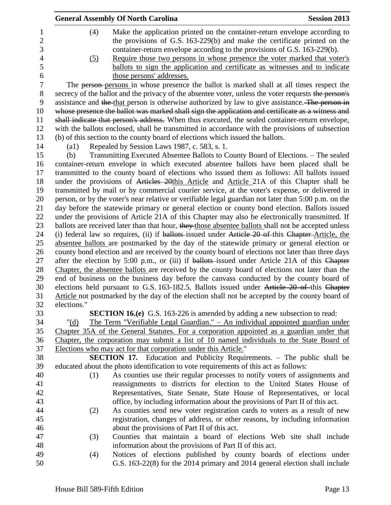|                                    |                    | <b>General Assembly Of North Carolina</b>                                                                                                                                                                                            | <b>Session 2013</b> |
|------------------------------------|--------------------|--------------------------------------------------------------------------------------------------------------------------------------------------------------------------------------------------------------------------------------|---------------------|
| $\mathbf 1$<br>$\overline{2}$<br>3 | (4)                | Make the application printed on the container-return envelope according to<br>the provisions of G.S. 163-229(b) and make the certificate printed on the<br>container-return envelope according to the provisions of G.S. 163-229(b). |                     |
| $\overline{4}$<br>5<br>6           | (5)                | Require those two persons in whose presence the voter marked that voter's<br>ballots to sign the application and certificate as witnesses and to indicate<br>those persons' addresses.                                               |                     |
| $\tau$                             |                    | The person-persons in whose presence the ballot is marked shall at all times respect the                                                                                                                                             |                     |
| $8\,$<br>9                         |                    | secrecy of the ballot and the privacy of the absentee voter, unless the voter requests the person's<br>assistance and the that person is otherwise authorized by law to give assistance. The person in                               |                     |
| 10                                 |                    | whose presence the ballot was marked shall sign the application and certificate as a witness and                                                                                                                                     |                     |
| 11                                 |                    | shall indicate that person's address. When thus executed, the sealed container-return envelope,                                                                                                                                      |                     |
| 12                                 |                    | with the ballots enclosed, shall be transmitted in accordance with the provisions of subsection                                                                                                                                      |                     |
| 13                                 |                    | (b) of this section to the county board of elections which issued the ballots.                                                                                                                                                       |                     |
| 14                                 | $\left( a1\right)$ | Repealed by Session Laws 1987, c. 583, s. 1.                                                                                                                                                                                         |                     |
| 15                                 | (b)                | Transmitting Executed Absentee Ballots to County Board of Elections. - The sealed                                                                                                                                                    |                     |
| 16                                 |                    | container-return envelope in which executed absentee ballots have been placed shall be                                                                                                                                               |                     |
| 17                                 |                    | transmitted to the county board of elections who issued them as follows: All ballots issued                                                                                                                                          |                     |
| 18                                 |                    | under the provisions of Articles 20this Article and Article 21A of this Chapter shall be                                                                                                                                             |                     |
| 19                                 |                    | transmitted by mail or by commercial courier service, at the voter's expense, or delivered in                                                                                                                                        |                     |
| 20                                 |                    | person, or by the voter's near relative or verifiable legal guardian not later than 5:00 p.m. on the                                                                                                                                 |                     |
| 21                                 |                    | day before the statewide primary or general election or county bond election. Ballots issued                                                                                                                                         |                     |
| 22                                 |                    | under the provisions of Article 21A of this Chapter may also be electronically transmitted. If                                                                                                                                       |                     |
| 23                                 |                    | ballots are received later than that hour, they those absentee ballots shall not be accepted unless                                                                                                                                  |                     |
| 24<br>25                           |                    | (i) federal law so requires, (ii) if ballots issued under Article 20 of this Chapter-Article, the<br>absentee ballots are postmarked by the day of the statewide primary or general election or                                      |                     |
| 26                                 |                    | county bond election and are received by the county board of elections not later than three days                                                                                                                                     |                     |
| 27                                 |                    | after the election by 5:00 p.m., or (iii) if ballots-issued under Article 21A of this Chapter                                                                                                                                        |                     |
| 28                                 |                    | Chapter, the absentee ballots are received by the county board of elections not later than the                                                                                                                                       |                     |
| 29                                 |                    | end of business on the business day before the canvass conducted by the county board of                                                                                                                                              |                     |
| 30                                 |                    | elections held pursuant to G.S. 163-182.5. Ballots issued under Article 20 of this Chapter                                                                                                                                           |                     |
| 31                                 |                    | Article not postmarked by the day of the election shall not be accepted by the county board of                                                                                                                                       |                     |
| 32                                 | elections."        |                                                                                                                                                                                                                                      |                     |
| 33                                 |                    | <b>SECTION 16.(e)</b> G.S. 163-226 is amended by adding a new subsection to read:                                                                                                                                                    |                     |
| 34                                 | " $(d)$            | The Term "Verifiable Legal Guardian." - An individual appointed guardian under                                                                                                                                                       |                     |
| 35                                 |                    | Chapter 35A of the General Statutes. For a corporation appointed as a guardian under that                                                                                                                                            |                     |
| 36                                 |                    | Chapter, the corporation may submit a list of 10 named individuals to the State Board of                                                                                                                                             |                     |
| 37                                 |                    | Elections who may act for that corporation under this Article."                                                                                                                                                                      |                     |
| 38                                 |                    | <b>SECTION 17.</b> Education and Publicity Requirements. – The public shall be                                                                                                                                                       |                     |
| 39                                 |                    | educated about the photo identification to vote requirements of this act as follows:                                                                                                                                                 |                     |
| 40                                 | (1)                | As counties use their regular processes to notify voters of assignments and                                                                                                                                                          |                     |
| 41                                 |                    | reassignments to districts for election to the United States House of                                                                                                                                                                |                     |
| 42                                 |                    | Representatives, State Senate, State House of Representatives, or local                                                                                                                                                              |                     |
| 43                                 |                    | office, by including information about the provisions of Part II of this act.                                                                                                                                                        |                     |
| 44                                 | (2)                | As counties send new voter registration cards to voters as a result of new                                                                                                                                                           |                     |
| 45                                 |                    | registration, changes of address, or other reasons, by including information                                                                                                                                                         |                     |
| 46                                 |                    | about the provisions of Part II of this act.                                                                                                                                                                                         |                     |
| 47                                 | (3)                | Counties that maintain a board of elections Web site shall include                                                                                                                                                                   |                     |
| 48                                 |                    | information about the provisions of Part II of this act.                                                                                                                                                                             |                     |
| 49                                 | (4)                | Notices of elections published by county boards of elections under                                                                                                                                                                   |                     |
| 50                                 |                    | G.S. 163-22(8) for the 2014 primary and 2014 general election shall include                                                                                                                                                          |                     |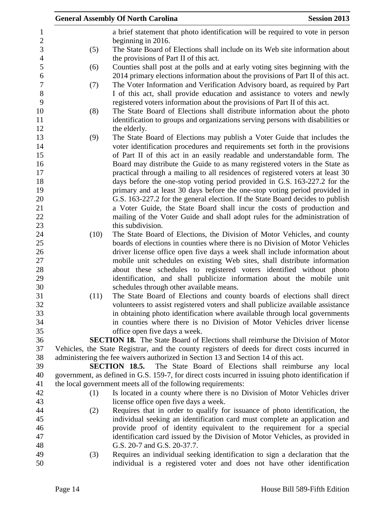|                     |      | <b>General Assembly Of North Carolina</b><br><b>Session 2013</b>                                                                                            |  |
|---------------------|------|-------------------------------------------------------------------------------------------------------------------------------------------------------------|--|
| $\mathbf{1}$        |      | a brief statement that photo identification will be required to vote in person                                                                              |  |
| $\sqrt{2}$          |      | beginning in 2016.                                                                                                                                          |  |
| 3<br>$\overline{4}$ | (5)  | The State Board of Elections shall include on its Web site information about<br>the provisions of Part II of this act.                                      |  |
| 5                   | (6)  | Counties shall post at the polls and at early voting sites beginning with the                                                                               |  |
| 6                   |      | 2014 primary elections information about the provisions of Part II of this act.                                                                             |  |
| $\boldsymbol{7}$    | (7)  | The Voter Information and Verification Advisory board, as required by Part                                                                                  |  |
| $8\,$               |      | I of this act, shall provide education and assistance to voters and newly                                                                                   |  |
| 9                   |      | registered voters information about the provisions of Part II of this act.                                                                                  |  |
| 10                  | (8)  | The State Board of Elections shall distribute information about the photo                                                                                   |  |
| 11                  |      | identification to groups and organizations serving persons with disabilities or                                                                             |  |
| 12                  |      | the elderly.                                                                                                                                                |  |
| 13                  | (9)  | The State Board of Elections may publish a Voter Guide that includes the                                                                                    |  |
| 14                  |      | voter identification procedures and requirements set forth in the provisions                                                                                |  |
| 15                  |      | of Part II of this act in an easily readable and understandable form. The                                                                                   |  |
| 16                  |      | Board may distribute the Guide to as many registered voters in the State as                                                                                 |  |
| 17                  |      | practical through a mailing to all residences of registered voters at least 30                                                                              |  |
| 18                  |      | days before the one-stop voting period provided in G.S. 163-227.2 for the                                                                                   |  |
| 19                  |      | primary and at least 30 days before the one-stop voting period provided in                                                                                  |  |
| 20                  |      | G.S. 163-227.2 for the general election. If the State Board decides to publish                                                                              |  |
| 21                  |      | a Voter Guide, the State Board shall incur the costs of production and                                                                                      |  |
| 22                  |      | mailing of the Voter Guide and shall adopt rules for the administration of                                                                                  |  |
| 23                  |      | this subdivision.                                                                                                                                           |  |
| 24                  | (10) | The State Board of Elections, the Division of Motor Vehicles, and county                                                                                    |  |
| 25                  |      | boards of elections in counties where there is no Division of Motor Vehicles                                                                                |  |
| 26                  |      | driver license office open five days a week shall include information about                                                                                 |  |
| 27                  |      | mobile unit schedules on existing Web sites, shall distribute information                                                                                   |  |
| 28                  |      | about these schedules to registered voters identified without photo                                                                                         |  |
| 29                  |      | identification, and shall publicize information about the mobile unit                                                                                       |  |
| 30<br>31            |      | schedules through other available means.                                                                                                                    |  |
| 32                  | (11) | The State Board of Elections and county boards of elections shall direct<br>volunteers to assist registered voters and shall publicize available assistance |  |
| 33                  |      | in obtaining photo identification where available through local governments                                                                                 |  |
| 34                  |      | in counties where there is no Division of Motor Vehicles driver license                                                                                     |  |
| 35                  |      | office open five days a week.                                                                                                                               |  |
| 36                  |      | <b>SECTION 18.</b> The State Board of Elections shall reimburse the Division of Motor                                                                       |  |
| 37                  |      | Vehicles, the State Registrar, and the county registers of deeds for direct costs incurred in                                                               |  |
| 38                  |      | administering the fee waivers authorized in Section 13 and Section 14 of this act.                                                                          |  |
| 39                  |      | The State Board of Elections shall reimburse any local<br><b>SECTION 18.5.</b>                                                                              |  |
| 40                  |      | government, as defined in G.S. 159-7, for direct costs incurred in issuing photo identification if                                                          |  |
| 41                  |      | the local government meets all of the following requirements:                                                                                               |  |
| 42                  | (1)  | Is located in a county where there is no Division of Motor Vehicles driver                                                                                  |  |
| 43                  |      | license office open five days a week.                                                                                                                       |  |
| 44                  | (2)  | Requires that in order to qualify for issuance of photo identification, the                                                                                 |  |
| 45                  |      | individual seeking an identification card must complete an application and                                                                                  |  |
| 46                  |      | provide proof of identity equivalent to the requirement for a special                                                                                       |  |
| 47                  |      | identification card issued by the Division of Motor Vehicles, as provided in                                                                                |  |
| 48                  |      | G.S. 20-7 and G.S. 20-37.7.                                                                                                                                 |  |
| 49                  | (3)  | Requires an individual seeking identification to sign a declaration that the                                                                                |  |
| 50                  |      | individual is a registered voter and does not have other identification                                                                                     |  |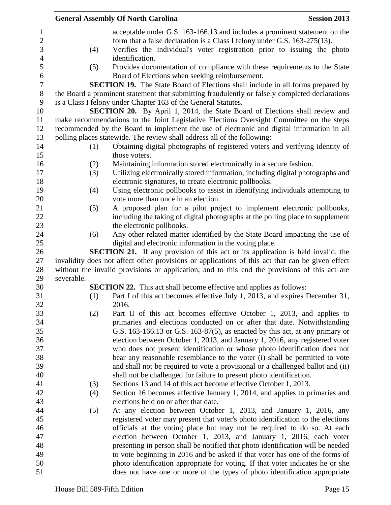| <b>General Assembly Of North Carolina</b> |     |                                                                                                                                                                                                                                                       | <b>Session 2013</b> |
|-------------------------------------------|-----|-------------------------------------------------------------------------------------------------------------------------------------------------------------------------------------------------------------------------------------------------------|---------------------|
|                                           | (4) | acceptable under G.S. 163-166.13 and includes a prominent statement on the<br>form that a false declaration is a Class I felony under G.S. 163-275(13).<br>Verifies the individual's voter registration prior to issuing the photo<br>identification. |                     |
|                                           | (5) | Provides documentation of compliance with these requirements to the State<br>Board of Elections when seeking reimbursement.                                                                                                                           |                     |
|                                           |     | <b>SECTION 19.</b> The State Board of Elections shall include in all forms prepared by                                                                                                                                                                |                     |
|                                           |     | the Board a prominent statement that submitting fraudulently or falsely completed declarations<br>is a Class I felony under Chapter 163 of the General Statutes.                                                                                      |                     |
|                                           |     | <b>SECTION 20.</b> By April 1, 2014, the State Board of Elections shall review and                                                                                                                                                                    |                     |
|                                           |     | make recommendations to the Joint Legislative Elections Oversight Committee on the steps                                                                                                                                                              |                     |
|                                           |     | recommended by the Board to implement the use of electronic and digital information in all                                                                                                                                                            |                     |
|                                           |     | polling places statewide. The review shall address all of the following:                                                                                                                                                                              |                     |
|                                           | (1) | Obtaining digital photographs of registered voters and verifying identity of<br>those voters.                                                                                                                                                         |                     |
|                                           | (2) | Maintaining information stored electronically in a secure fashion.                                                                                                                                                                                    |                     |
|                                           | (3) | Utilizing electronically stored information, including digital photographs and                                                                                                                                                                        |                     |
|                                           |     | electronic signatures, to create electronic pollbooks.                                                                                                                                                                                                |                     |
|                                           | (4) | Using electronic pollbooks to assist in identifying individuals attempting to<br>vote more than once in an election.                                                                                                                                  |                     |
|                                           | (5) | A proposed plan for a pilot project to implement electronic pollbooks,                                                                                                                                                                                |                     |
|                                           |     | including the taking of digital photographs at the polling place to supplement                                                                                                                                                                        |                     |
|                                           |     | the electronic pollbooks.                                                                                                                                                                                                                             |                     |
|                                           | (6) | Any other related matter identified by the State Board impacting the use of                                                                                                                                                                           |                     |
|                                           |     | digital and electronic information in the voting place.                                                                                                                                                                                               |                     |
|                                           |     | <b>SECTION 21.</b> If any provision of this act or its application is held invalid, the                                                                                                                                                               |                     |
|                                           |     | invalidity does not affect other provisions or applications of this act that can be given effect                                                                                                                                                      |                     |
|                                           |     | without the invalid provisions or application, and to this end the provisions of this act are                                                                                                                                                         |                     |
| severable.                                |     |                                                                                                                                                                                                                                                       |                     |
|                                           |     | <b>SECTION 22.</b> This act shall become effective and applies as follows:                                                                                                                                                                            |                     |
|                                           | (1) | Part I of this act becomes effective July 1, 2013, and expires December 31,                                                                                                                                                                           |                     |
|                                           |     | 2016.                                                                                                                                                                                                                                                 |                     |
|                                           | (2) | Part II of this act becomes effective October 1, 2013, and applies to<br>primaries and elections conducted on or after that date. Notwithstanding                                                                                                     |                     |
|                                           |     | G.S. $163-166.13$ or G.S. $163-87(5)$ , as enacted by this act, at any primary or                                                                                                                                                                     |                     |
|                                           |     | election between October 1, 2013, and January 1, 2016, any registered voter                                                                                                                                                                           |                     |
|                                           |     | who does not present identification or whose photo identification does not                                                                                                                                                                            |                     |
|                                           |     | bear any reasonable resemblance to the voter (i) shall be permitted to vote                                                                                                                                                                           |                     |
|                                           |     | and shall not be required to vote a provisional or a challenged ballot and (ii)                                                                                                                                                                       |                     |
|                                           |     | shall not be challenged for failure to present photo identification.                                                                                                                                                                                  |                     |
|                                           | (3) | Sections 13 and 14 of this act become effective October 1, 2013.                                                                                                                                                                                      |                     |
|                                           | (4) | Section 16 becomes effective January 1, 2014, and applies to primaries and                                                                                                                                                                            |                     |
|                                           |     | elections held on or after that date.                                                                                                                                                                                                                 |                     |
|                                           | (5) | At any election between October 1, 2013, and January 1, 2016, any                                                                                                                                                                                     |                     |
|                                           |     | registered voter may present that voter's photo identification to the elections                                                                                                                                                                       |                     |
|                                           |     | officials at the voting place but may not be required to do so. At each                                                                                                                                                                               |                     |
|                                           |     | election between October 1, 2013, and January 1, 2016, each voter                                                                                                                                                                                     |                     |
|                                           |     | presenting in person shall be notified that photo identification will be needed                                                                                                                                                                       |                     |
|                                           |     | to vote beginning in 2016 and be asked if that voter has one of the forms of                                                                                                                                                                          |                     |
|                                           |     | photo identification appropriate for voting. If that voter indicates he or she                                                                                                                                                                        |                     |
|                                           |     | does not have one or more of the types of photo identification appropriate                                                                                                                                                                            |                     |